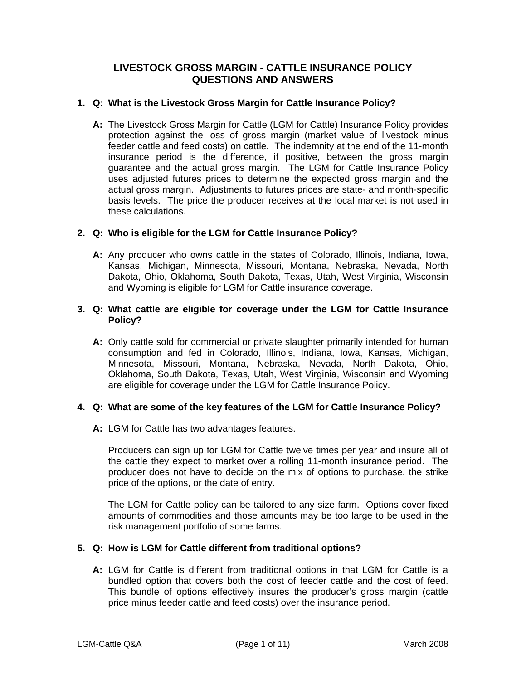# **LIVESTOCK GROSS MARGIN - CATTLE INSURANCE POLICY QUESTIONS AND ANSWERS**

## **1. Q: What is the Livestock Gross Margin for Cattle Insurance Policy?**

 **A:** The Livestock Gross Margin for Cattle (LGM for Cattle) Insurance Policy provides protection against the loss of gross margin (market value of livestock minus feeder cattle and feed costs) on cattle. The indemnity at the end of the 11-month insurance period is the difference, if positive, between the gross margin guarantee and the actual gross margin. The LGM for Cattle Insurance Policy uses adjusted futures prices to determine the expected gross margin and the actual gross margin. Adjustments to futures prices are state- and month-specific basis levels. The price the producer receives at the local market is not used in these calculations.

# **2. Q: Who is eligible for the LGM for Cattle Insurance Policy?**

 **A:** Any producer who owns cattle in the states of Colorado, Illinois, Indiana, Iowa, Kansas, Michigan, Minnesota, Missouri, Montana, Nebraska, Nevada, North Dakota, Ohio, Oklahoma, South Dakota, Texas, Utah, West Virginia, Wisconsin and Wyoming is eligible for LGM for Cattle insurance coverage.

### **3. Q: What cattle are eligible for coverage under the LGM for Cattle Insurance Policy?**

 **A:** Only cattle sold for commercial or private slaughter primarily intended for human consumption and fed in Colorado, Illinois, Indiana, Iowa, Kansas, Michigan, Minnesota, Missouri, Montana, Nebraska, Nevada, North Dakota, Ohio, Oklahoma, South Dakota, Texas, Utah, West Virginia, Wisconsin and Wyoming are eligible for coverage under the LGM for Cattle Insurance Policy.

#### **4. Q: What are some of the key features of the LGM for Cattle Insurance Policy?**

 **A:** LGM for Cattle has two advantages features.

Producers can sign up for LGM for Cattle twelve times per year and insure all of the cattle they expect to market over a rolling 11-month insurance period. The producer does not have to decide on the mix of options to purchase, the strike price of the options, or the date of entry.

The LGM for Cattle policy can be tailored to any size farm. Options cover fixed amounts of commodities and those amounts may be too large to be used in the risk management portfolio of some farms.

# **5. Q: How is LGM for Cattle different from traditional options?**

bundled option that covers both the cost of feeder cattle and the cost of feed. **A:** LGM for Cattle is different from traditional options in that LGM for Cattle is a This bundle of options effectively insures the producer's gross margin (cattle price minus feeder cattle and feed costs) over the insurance period.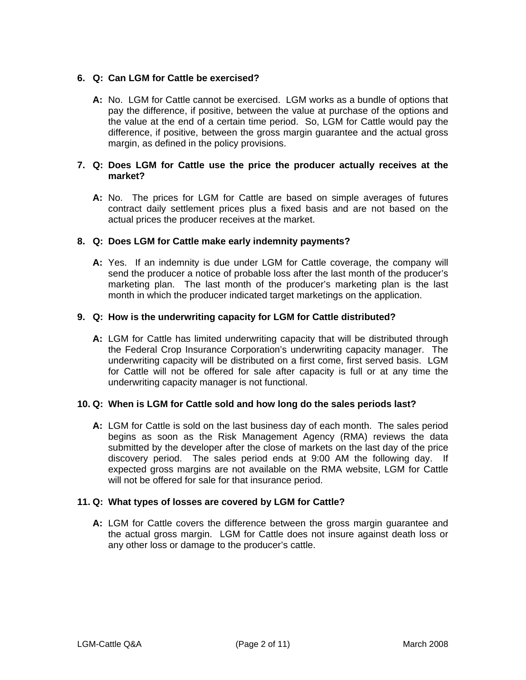## **6. Q: Can LGM for Cattle be exercised?**

**A:** No. LGM for Cattle cannot be exercised. LGM works as a bundle of options that pay the difference, if positive, between the value at purchase of the options and the value at the end of a certain time period. So, LGM for Cattle would pay the difference, if positive, between the gross margin guarantee and the actual gross margin, as defined in the policy provisions.

### **7. Q: Does LGM for Cattle use the price the producer actually receives at the market?**

**A:** No. The prices for LGM for Cattle are based on simple averages of futures contract daily settlement prices plus a fixed basis and are not based on the actual prices the producer receives at the market.

## **8. Q: Does LGM for Cattle make early indemnity payments?**

**A:** Yes. If an indemnity is due under LGM for Cattle coverage, the company will send the producer a notice of probable loss after the last month of the producer's marketing plan. The last month of the producer's marketing plan is the last month in which the producer indicated target marketings on the application.

## **9. Q: How is the underwriting capacity for LGM for Cattle distributed?**

**A:** LGM for Cattle has limited underwriting capacity that will be distributed through the Federal Crop Insurance Corporation's underwriting capacity manager. The underwriting capacity will be distributed on a first come, first served basis. LGM for Cattle will not be offered for sale after capacity is full or at any time the underwriting capacity manager is not functional.

#### **10. Q: When is LGM for Cattle sold and how long do the sales periods last?**

**A:** LGM for Cattle is sold on the last business day of each month. The sales period begins as soon as the Risk Management Agency (RMA) reviews the data submitted by the developer after the close of markets on the last day of the price discovery period. The sales period ends at 9:00 AM the following day. If expected gross margins are not available on the RMA website, LGM for Cattle will not be offered for sale for that insurance period.

#### **11. Q: What types of losses are covered by LGM for Cattle?**

**A:** LGM for Cattle covers the difference between the gross margin guarantee and the actual gross margin. LGM for Cattle does not insure against death loss or any other loss or damage to the producer's cattle.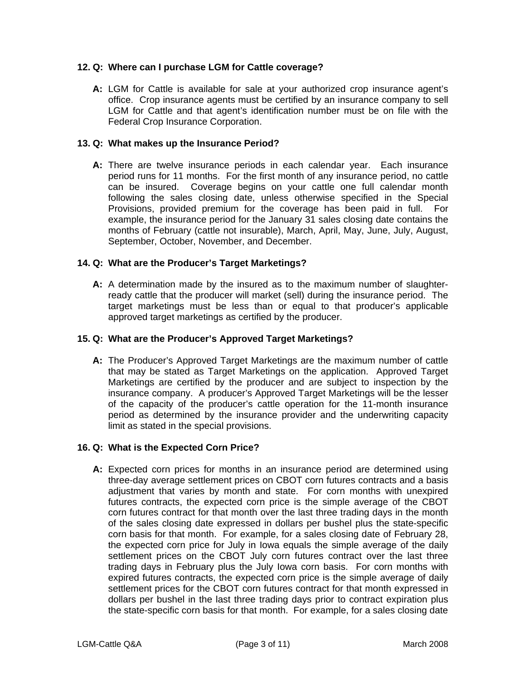## **12. Q: Where can I purchase LGM for Cattle coverage?**

**A:** LGM for Cattle is available for sale at your authorized crop insurance agent's office. Crop insurance agents must be certified by an insurance company to sell LGM for Cattle and that agent's identification number must be on file with the Federal Crop Insurance Corporation.

### **13. Q: What makes up the Insurance Period?**

**A:** There are twelve insurance periods in each calendar year. Each insurance period runs for 11 months. For the first month of any insurance period, no cattle can be insured. Coverage begins on your cattle one full calendar month following the sales closing date, unless otherwise specified in the Special Provisions, provided premium for the coverage has been paid in full. For example, the insurance period for the January 31 sales closing date contains the months of February (cattle not insurable), March, April, May, June, July, August, September, October, November, and December.

## **14. Q: What are the Producer's Target Marketings?**

**A:** A determination made by the insured as to the maximum number of slaughterready cattle that the producer will market (sell) during the insurance period. The target marketings must be less than or equal to that producer's applicable approved target marketings as certified by the producer.

### **15. Q: What are the Producer's Approved Target Marketings?**

**A:** The Producer's Approved Target Marketings are the maximum number of cattle that may be stated as Target Marketings on the application. Approved Target Marketings are certified by the producer and are subject to inspection by the insurance company. A producer's Approved Target Marketings will be the lesser of the capacity of the producer's cattle operation for the 11-month insurance period as determined by the insurance provider and the underwriting capacity limit as stated in the special provisions.

#### **16. Q: What is the Expected Corn Price?**

 adjustment that varies by month and state. For corn months with unexpired  **A:** Expected corn prices for months in an insurance period are determined using three-day average settlement prices on CBOT corn futures contracts and a basis futures contracts, the expected corn price is the simple average of the CBOT corn futures contract for that month over the last three trading days in the month of the sales closing date expressed in dollars per bushel plus the state-specific corn basis for that month. For example, for a sales closing date of February 28, the expected corn price for July in Iowa equals the simple average of the daily settlement prices on the CBOT July corn futures contract over the last three trading days in February plus the July Iowa corn basis. For corn months with expired futures contracts, the expected corn price is the simple average of daily settlement prices for the CBOT corn futures contract for that month expressed in dollars per bushel in the last three trading days prior to contract expiration plus the state-specific corn basis for that month. For example, for a sales closing date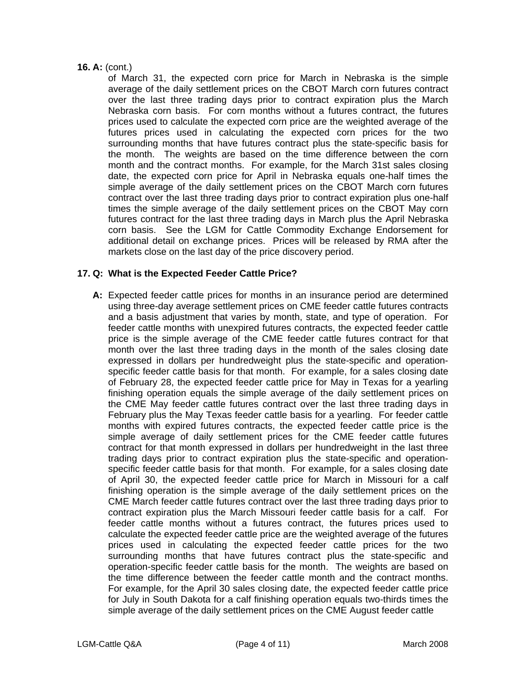## **16. A:** (cont.)

of March 31, the expected corn price for March in Nebraska is the simple average of the daily settlement prices on the CBOT March corn futures contract over the last three trading days prior to contract expiration plus the March Nebraska corn basis. For corn months without a futures contract, the futures prices used to calculate the expected corn price are the weighted average of the futures prices used in calculating the expected corn prices for the two surrounding months that have futures contract plus the state-specific basis for the month. The weights are based on the time difference between the corn month and the contract months. For example, for the March 31st sales closing date, the expected corn price for April in Nebraska equals one-half times the simple average of the daily settlement prices on the CBOT March corn futures contract over the last three trading days prior to contract expiration plus one-half times the simple average of the daily settlement prices on the CBOT May corn futures contract for the last three trading days in March plus the April Nebraska corn basis. See the LGM for Cattle Commodity Exchange Endorsement for additional detail on exchange prices. Prices will be released by RMA after the markets close on the last day of the price discovery period.

## **17. Q: What is the Expected Feeder Cattle Price?**

the time difference between the feeder cattle month and the contract months. **A:** Expected feeder cattle prices for months in an insurance period are determined using three-day average settlement prices on CME feeder cattle futures contracts and a basis adjustment that varies by month, state, and type of operation. For feeder cattle months with unexpired futures contracts, the expected feeder cattle price is the simple average of the CME feeder cattle futures contract for that month over the last three trading days in the month of the sales closing date expressed in dollars per hundredweight plus the state-specific and operationspecific feeder cattle basis for that month. For example, for a sales closing date of February 28, the expected feeder cattle price for May in Texas for a yearling finishing operation equals the simple average of the daily settlement prices on the CME May feeder cattle futures contract over the last three trading days in February plus the May Texas feeder cattle basis for a yearling. For feeder cattle months with expired futures contracts, the expected feeder cattle price is the simple average of daily settlement prices for the CME feeder cattle futures contract for that month expressed in dollars per hundredweight in the last three trading days prior to contract expiration plus the state-specific and operationspecific feeder cattle basis for that month. For example, for a sales closing date of April 30, the expected feeder cattle price for March in Missouri for a calf finishing operation is the simple average of the daily settlement prices on the CME March feeder cattle futures contract over the last three trading days prior to contract expiration plus the March Missouri feeder cattle basis for a calf. For feeder cattle months without a futures contract, the futures prices used to calculate the expected feeder cattle price are the weighted average of the futures prices used in calculating the expected feeder cattle prices for the two surrounding months that have futures contract plus the state-specific and operation-specific feeder cattle basis for the month. The weights are based on For example, for the April 30 sales closing date, the expected feeder cattle price for July in South Dakota for a calf finishing operation equals two-thirds times the simple average of the daily settlement prices on the CME August feeder cattle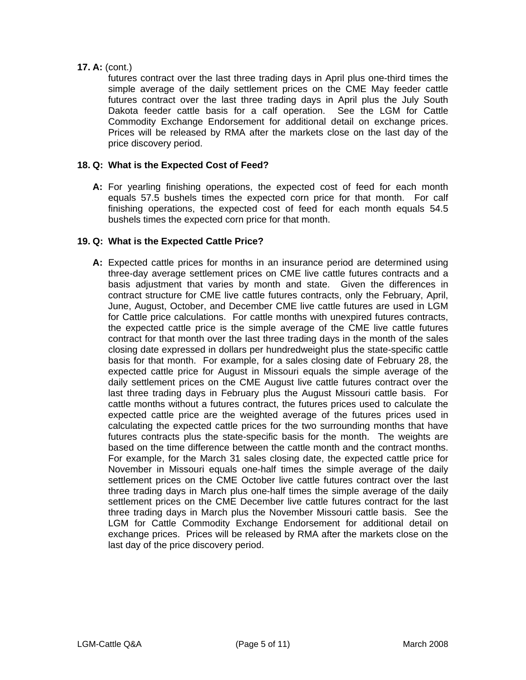# **17. A:** (cont.)

futures contract over the last three trading days in April plus one-third times the simple average of the daily settlement prices on the CME May feeder cattle futures contract over the last three trading days in April plus the July South Dakota feeder cattle basis for a calf operation. See the LGM for Cattle Commodity Exchange Endorsement for additional detail on exchange prices. Prices will be released by RMA after the markets close on the last day of the price discovery period.

## **18. Q: What is the Expected Cost of Feed?**

**A:** For yearling finishing operations, the expected cost of feed for each month equals 57.5 bushels times the expected corn price for that month. For calf finishing operations, the expected cost of feed for each month equals 54.5 bushels times the expected corn price for that month.

# **19. Q: What is the Expected Cattle Price?**

based on the time difference between the cattle month and the contract months.  **A:** Expected cattle prices for months in an insurance period are determined using three-day average settlement prices on CME live cattle futures contracts and a basis adjustment that varies by month and state. Given the differences in contract structure for CME live cattle futures contracts, only the February, April, June, August, October, and December CME live cattle futures are used in LGM for Cattle price calculations. For cattle months with unexpired futures contracts, the expected cattle price is the simple average of the CME live cattle futures contract for that month over the last three trading days in the month of the sales closing date expressed in dollars per hundredweight plus the state-specific cattle basis for that month. For example, for a sales closing date of February 28, the expected cattle price for August in Missouri equals the simple average of the daily settlement prices on the CME August live cattle futures contract over the last three trading days in February plus the August Missouri cattle basis. For cattle months without a futures contract, the futures prices used to calculate the expected cattle price are the weighted average of the futures prices used in calculating the expected cattle prices for the two surrounding months that have futures contracts plus the state-specific basis for the month. The weights are For example, for the March 31 sales closing date, the expected cattle price for November in Missouri equals one-half times the simple average of the daily settlement prices on the CME October live cattle futures contract over the last three trading days in March plus one-half times the simple average of the daily settlement prices on the CME December live cattle futures contract for the last three trading days in March plus the November Missouri cattle basis. See the LGM for Cattle Commodity Exchange Endorsement for additional detail on exchange prices. Prices will be released by RMA after the markets close on the last day of the price discovery period.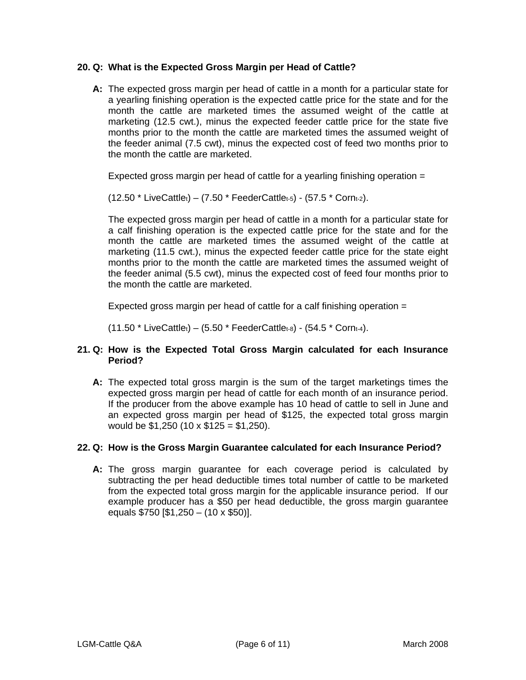## **20. Q: What is the Expected Gross Margin per Head of Cattle?**

**A:** The expected gross margin per head of cattle in a month for a particular state for a yearling finishing operation is the expected cattle price for the state and for the month the cattle are marketed times the assumed weight of the cattle at marketing (12.5 cwt.), minus the expected feeder cattle price for the state five months prior to the month the cattle are marketed times the assumed weight of the feeder animal (7.5 cwt), minus the expected cost of feed two months prior to the month the cattle are marketed.

Expected gross margin per head of cattle for a yearling finishing operation  $=$ 

 $(12.50 * LiveCattle<sub>t</sub>) - (7.50 * FeederCattle<sub>t-5</sub>) - (57.5 * Corn<sub>t-2</sub>).$ 

The expected gross margin per head of cattle in a month for a particular state for a calf finishing operation is the expected cattle price for the state and for the month the cattle are marketed times the assumed weight of the cattle at marketing (11.5 cwt.), minus the expected feeder cattle price for the state eight months prior to the month the cattle are marketed times the assumed weight of the feeder animal (5.5 cwt), minus the expected cost of feed four months prior to the month the cattle are marketed.

Expected gross margin per head of cattle for a calf finishing operation =

 $(11.50 * LiveCattle_t) - (5.50 * FeederCattle_t) - (5.50 * E).$ 

## **21. Q: How is the Expected Total Gross Margin calculated for each Insurance Period?**

**A:** The expected total gross margin is the sum of the target marketings times the expected gross margin per head of cattle for each month of an insurance period. If the producer from the above example has 10 head of cattle to sell in June and an expected gross margin per head of \$125, the expected total gross margin would be  $$1,250$  (10 x  $$125 = $1,250$ ).

# **22. Q: How is the Gross Margin Guarantee calculated for each Insurance Period?**

**A:** The gross margin guarantee for each coverage period is calculated by subtracting the per head deductible times total number of cattle to be marketed from the expected total gross margin for the applicable insurance period. If our example producer has a \$50 per head deductible, the gross margin guarantee equals \$750 [\$1,250 – (10 x \$50)].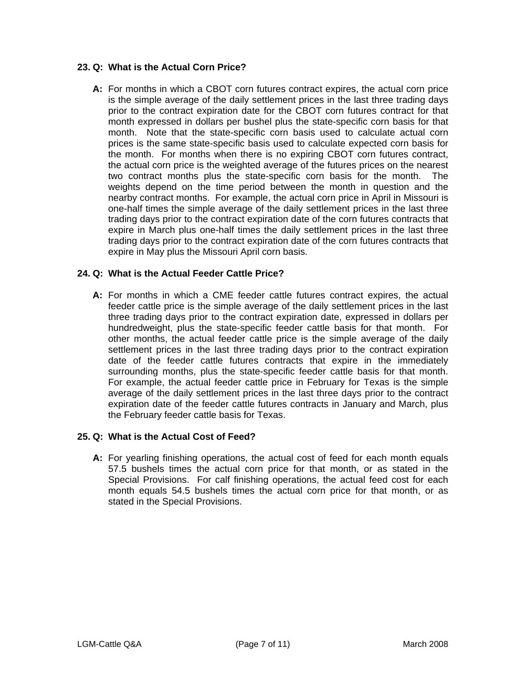# **23. Q: What is the Actual Corn Price?**

**A:** For months in which a CBOT corn futures contract expires, the actual corn price is the simple average of the daily settlement prices in the last three trading days prior to the contract expiration date for the CBOT corn futures contract for that month expressed in dollars per bushel plus the state-specific corn basis for that month. Note that the state-specific corn basis used to calculate actual corn prices is the same state-specific basis used to calculate expected corn basis for the month. For months when there is no expiring CBOT corn futures contract, the actual corn price is the weighted average of the futures prices on the nearest two contract months plus the state-specific corn basis for the month. The weights depend on the time period between the month in question and the nearby contract months. For example, the actual corn price in April in Missouri is one-half times the simple average of the daily settlement prices in the last three trading days prior to the contract expiration date of the corn futures contracts that expire in March plus one-half times the daily settlement prices in the last three trading days prior to the contract expiration date of the corn futures contracts that expire in May plus the Missouri April corn basis.

## **24. Q: What is the Actual Feeder Cattle Price?**

surrounding months, plus the state-specific feeder cattle basis for that month. **A:** For months in which a CME feeder cattle futures contract expires, the actual feeder cattle price is the simple average of the daily settlement prices in the last three trading days prior to the contract expiration date, expressed in dollars per hundredweight, plus the state-specific feeder cattle basis for that month. For other months, the actual feeder cattle price is the simple average of the daily settlement prices in the last three trading days prior to the contract expiration date of the feeder cattle futures contracts that expire in the immediately For example, the actual feeder cattle price in February for Texas is the simple average of the daily settlement prices in the last three days prior to the contract expiration date of the feeder cattle futures contracts in January and March, plus the February feeder cattle basis for Texas.

# **25. Q: What is the Actual Cost of Feed?**

**A:** For yearling finishing operations, the actual cost of feed for each month equals 57.5 bushels times the actual corn price for that month, or as stated in the Special Provisions. For calf finishing operations, the actual feed cost for each month equals 54.5 bushels times the actual corn price for that month, or as stated in the Special Provisions.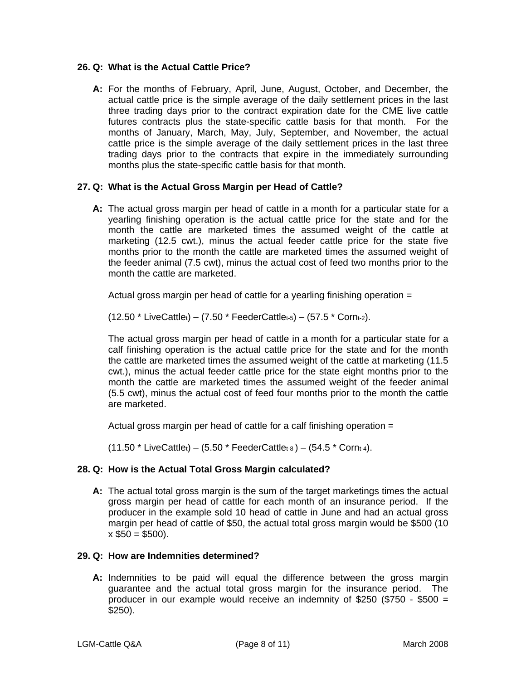## **26. Q: What is the Actual Cattle Price?**

**A:** For the months of February, April, June, August, October, and December, the actual cattle price is the simple average of the daily settlement prices in the last three trading days prior to the contract expiration date for the CME live cattle futures contracts plus the state-specific cattle basis for that month. For the months of January, March, May, July, September, and November, the actual cattle price is the simple average of the daily settlement prices in the last three trading days prior to the contracts that expire in the immediately surrounding months plus the state-specific cattle basis for that month.

## **27. Q: What is the Actual Gross Margin per Head of Cattle?**

**A:** The actual gross margin per head of cattle in a month for a particular state for a yearling finishing operation is the actual cattle price for the state and for the month the cattle are marketed times the assumed weight of the cattle at marketing (12.5 cwt.), minus the actual feeder cattle price for the state five months prior to the month the cattle are marketed times the assumed weight of the feeder animal (7.5 cwt), minus the actual cost of feed two months prior to the month the cattle are marketed.

Actual gross margin per head of cattle for a yearling finishing operation =

 $(12.50 * LiveCattle_t) - (7.50 * FeederCattle_t - (57.5 * Corn_t-2)).$ 

 calf finishing operation is the actual cattle price for the state and for the month The actual gross margin per head of cattle in a month for a particular state for a the cattle are marketed times the assumed weight of the cattle at marketing (11.5 cwt.), minus the actual feeder cattle price for the state eight months prior to the month the cattle are marketed times the assumed weight of the feeder animal (5.5 cwt), minus the actual cost of feed four months prior to the month the cattle are marketed.

Actual gross margin per head of cattle for a calf finishing operation =

 $(11.50 * LiveCattle<sub>t</sub>) - (5.50 * FeederCattle<sub>t-8</sub>) - (54.5 * Corn<sub>t-4</sub>).$ 

# **28. Q: How is the Actual Total Gross Margin calculated?**

**A:** The actual total gross margin is the sum of the target marketings times the actual gross margin per head of cattle for each month of an insurance period. If the producer in the example sold 10 head of cattle in June and had an actual gross margin per head of cattle of \$50, the actual total gross margin would be \$500 (10  $x $50 = $500$ ).

#### **29. Q: How are Indemnities determined?**

**A:** Indemnities to be paid will equal the difference between the gross margin guarantee and the actual total gross margin for the insurance period. The producer in our example would receive an indemnity of  $$250$  ( $$750 - $500 =$ \$250).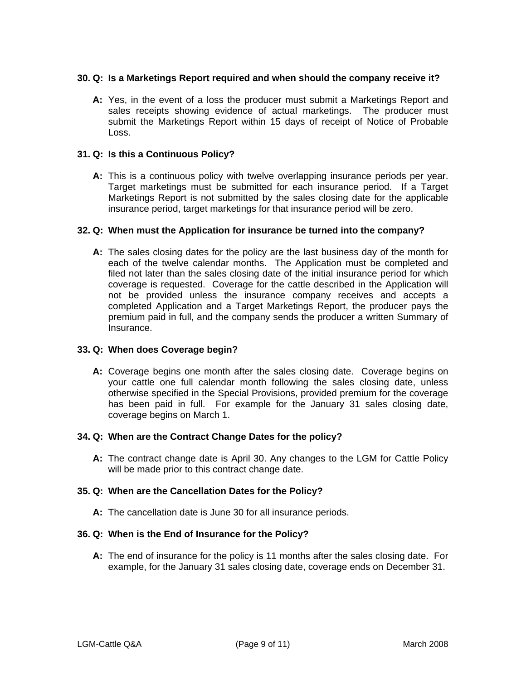## **30. Q: Is a Marketings Report required and when should the company receive it?**

**A:** Yes, in the event of a loss the producer must submit a Marketings Report and sales receipts showing evidence of actual marketings. The producer must submit the Marketings Report within 15 days of receipt of Notice of Probable Loss.

## **31. Q: Is this a Continuous Policy?**

 **A:** This is a continuous policy with twelve overlapping insurance periods per year. Target marketings must be submitted for each insurance period. If a Target Marketings Report is not submitted by the sales closing date for the applicable insurance period, target marketings for that insurance period will be zero.

## **32. Q: When must the Application for insurance be turned into the company?**

 **A:** The sales closing dates for the policy are the last business day of the month for each of the twelve calendar months. The Application must be completed and filed not later than the sales closing date of the initial insurance period for which coverage is requested. Coverage for the cattle described in the Application will not be provided unless the insurance company receives and accepts a completed Application and a Target Marketings Report, the producer pays the premium paid in full, and the company sends the producer a written Summary of Insurance.

# **33. Q: When does Coverage begin?**

**A:** Coverage begins one month after the sales closing date. Coverage begins on your cattle one full calendar month following the sales closing date, unless otherwise specified in the Special Provisions, provided premium for the coverage has been paid in full. For example for the January 31 sales closing date, coverage begins on March 1.

#### **34. Q: When are the Contract Change Dates for the policy?**

 **A:** The contract change date is April 30. Any changes to the LGM for Cattle Policy will be made prior to this contract change date.

# **35. Q: When are the Cancellation Dates for the Policy?**

 **A:** The cancellation date is June 30 for all insurance periods.

# **36. Q: When is the End of Insurance for the Policy?**

 **A:** The end of insurance for the policy is 11 months after the sales closing date. For example, for the January 31 sales closing date, coverage ends on December 31.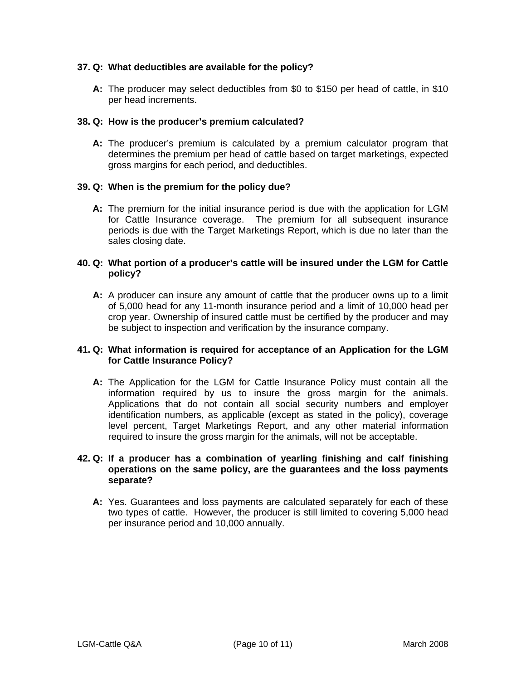## **37. Q: What deductibles are available for the policy?**

 **A:** The producer may select deductibles from \$0 to \$150 per head of cattle, in \$10 per head increments.

### **38. Q: How is the producer's premium calculated?**

**A:** The producer's premium is calculated by a premium calculator program that determines the premium per head of cattle based on target marketings, expected gross margins for each period, and deductibles.

## **39. Q: When is the premium for the policy due?**

**A:** The premium for the initial insurance period is due with the application for LGM for Cattle Insurance coverage. The premium for all subsequent insurance periods is due with the Target Marketings Report, which is due no later than the sales closing date.

### **40. Q: What portion of a producer's cattle will be insured under the LGM for Cattle policy?**

 **A:** A producer can insure any amount of cattle that the producer owns up to a limit of 5,000 head for any 11-month insurance period and a limit of 10,000 head per crop year. Ownership of insured cattle must be certified by the producer and may be subject to inspection and verification by the insurance company.

## **41. Q: What information is required for acceptance of an Application for the LGM for Cattle Insurance Policy?**

 **A:** The Application for the LGM for Cattle Insurance Policy must contain all the information required by us to insure the gross margin for the animals. Applications that do not contain all social security numbers and employer identification numbers, as applicable (except as stated in the policy), coverage level percent, Target Marketings Report, and any other material information required to insure the gross margin for the animals, will not be acceptable.

### **42. Q: If a producer has a combination of yearling finishing and calf finishing operations on the same policy, are the guarantees and the loss payments separate?**

**A:** Yes. Guarantees and loss payments are calculated separately for each of these two types of cattle. However, the producer is still limited to covering 5,000 head per insurance period and 10,000 annually.